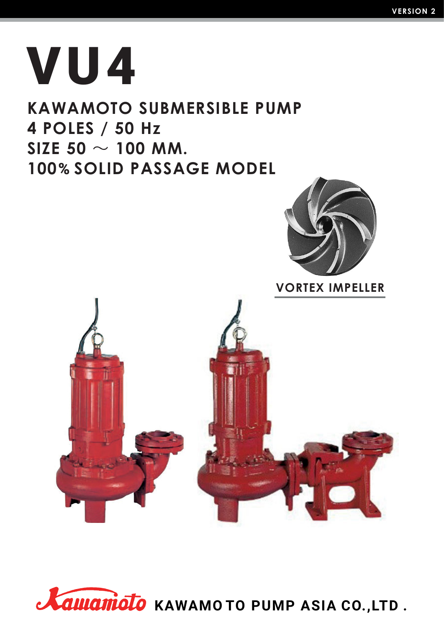# **VU4**

### **KAWAMOTO SUBMERSIBLE PUMP 4 POLES / 50 Hz**  $SIZE$  50  $\sim$  100 MM. **100% SOLID PASSAGE MODEL**



```
VORTEX IMPELLER
```


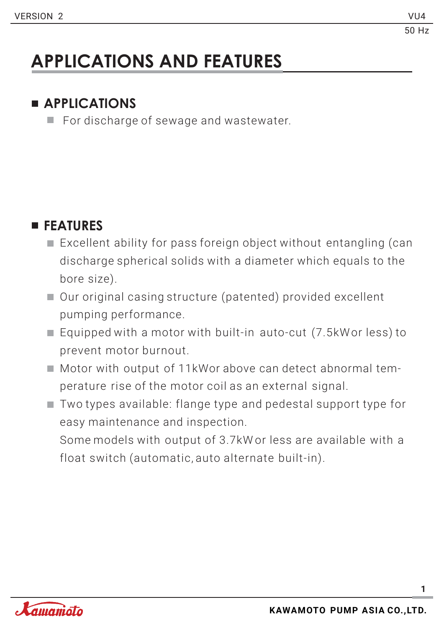## **APPLICATIONS AND FEATURES**

### **APPLICATIONS**

For discharge of sewage and wastewater.

### **FEATURES**

- Excellent ability for pass foreign object without entangling (can discharge spherical solids with a diameter which equals to the bore size).
- Our original casing structure (patented) provided excellent pumping performance.
- Equipped with a motor with built-in auto-cut (7.5kWor less) to prevent motor burnout.
- Motor with output of 11kWor above can detect abnormal temperature rise of the motor coil as an external signal.
- $\blacksquare$  Two types available: flange type and pedestal support type for easy maintenance and inspection.

Some models with output of 3.7kW or less are available with a float switch (automatic, auto alternate built-in).

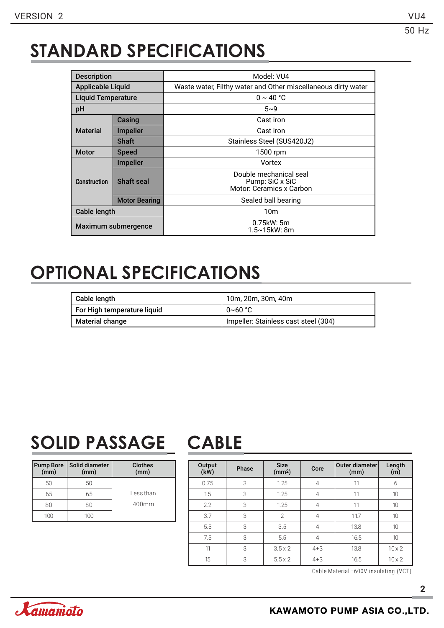### **STANDARD SPECIFICATIONS**

| <b>Description</b>       |                      | Model: VU4                                                            |  |  |  |  |  |  |  |
|--------------------------|----------------------|-----------------------------------------------------------------------|--|--|--|--|--|--|--|
| <b>Applicable Liquid</b> |                      | Waste water, Filthy water and Other miscellaneous dirty water         |  |  |  |  |  |  |  |
| Liquid Temperature       |                      | $0 \sim 40 °C$                                                        |  |  |  |  |  |  |  |
| рH                       |                      | $5 - 9$                                                               |  |  |  |  |  |  |  |
|                          | Casing               | Cast iron                                                             |  |  |  |  |  |  |  |
| <b>Material</b>          | <b>Impeller</b>      | Cast iron                                                             |  |  |  |  |  |  |  |
|                          | <b>Shaft</b>         | Stainless Steel (SUS420J2)                                            |  |  |  |  |  |  |  |
| <b>Motor</b>             | <b>Speed</b>         | 1500 rpm                                                              |  |  |  |  |  |  |  |
|                          | <b>Impeller</b>      | Vortex                                                                |  |  |  |  |  |  |  |
| <b>Construction</b>      | Shaft seal           | Double mechanical seal<br>Pump: SiC x SiC<br>Motor: Ceramics x Carbon |  |  |  |  |  |  |  |
|                          | <b>Motor Bearing</b> | Sealed ball bearing                                                   |  |  |  |  |  |  |  |
| Cable length             |                      | 10m                                                                   |  |  |  |  |  |  |  |
| Maximum submergence      |                      | $0.75$ kW: 5m<br>1.5~15kW: 8m                                         |  |  |  |  |  |  |  |

### **OPTIONAL SPECIFICATIONS**

| Cable length                | 10m. 20m. 30m. 40m                   |
|-----------------------------|--------------------------------------|
| For High temperature liquid | $0~60~{\rm ^{\circ}C}$               |
| Material change             | Impeller: Stainless cast steel (304) |

### **SOLID PASSAGE CABLE**

| <b>Pump Bore</b><br>(mm) | Solid diameter<br>(mm) | <b>Clothes</b><br>(mm) |
|--------------------------|------------------------|------------------------|
| 50                       | 50                     |                        |
| 65                       | 65                     | Less than              |
| 80                       | 80                     | $400$ mm               |
| 100                      |                        |                        |

| Output<br>(kW) | Phase | <b>Size</b><br>(mm <sup>2</sup> ) | Core           | <b>Outer diameter</b><br>(mm) | Length<br>(m) |
|----------------|-------|-----------------------------------|----------------|-------------------------------|---------------|
| 0.75           | 3     | 1.25                              | 4              | 11                            | 6             |
| 1.5            | 3     | 1.25                              | 4              | 11                            | 10            |
| 2.2            | 3     | 1.25                              | 4              | 11                            | 10            |
| 3.7            | 3     | $\mathcal{P}$                     | 4              | 11.7                          | 10            |
| 5.5            | 3     | 3.5                               | 4              | 13.8                          | 10            |
| 7.5            | 3     | 5.5                               | $\overline{4}$ | 16.5                          | 10            |
| 11             | 3     | $3.5 \times 2$                    | $4 + 3$        | 13.8                          | $10 \times 2$ |
| 15             | 3     | $5.5 \times 2$                    | $4 + 3$        | 16.5                          | $10 \times 2$ |

Cable Material : 600V insulating (VCT)

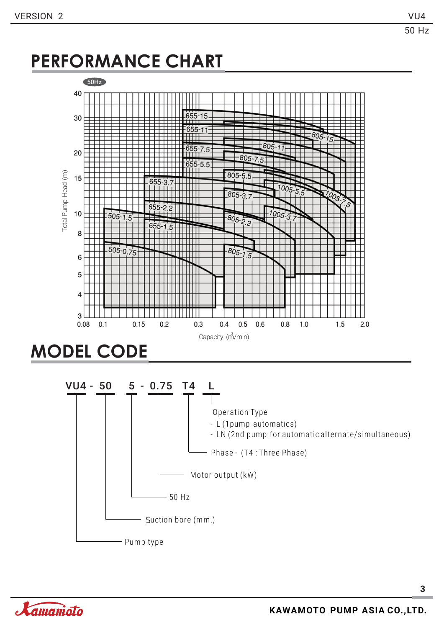### **PERFORMANCE CHART**





**3**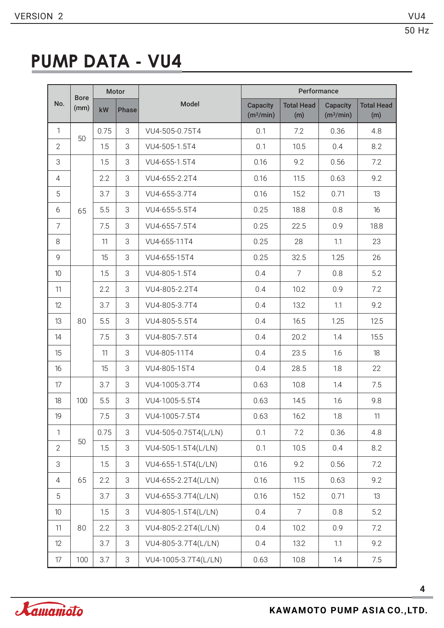### **PUMP DATA - VU4**

|                 | <b>Bore</b> |      | Motor        |                      | Performance                              |                          |                                          |                          |  |  |  |  |  |
|-----------------|-------------|------|--------------|----------------------|------------------------------------------|--------------------------|------------------------------------------|--------------------------|--|--|--|--|--|
| No.             | (mm)        | kW   | <b>Phase</b> | Model                | <b>Capacity</b><br>(m <sup>3</sup> /min) | <b>Total Head</b><br>(m) | <b>Capacity</b><br>(m <sup>3</sup> /min) | <b>Total Head</b><br>(m) |  |  |  |  |  |
| $\mathbf{1}$    | 50          | 0.75 | 3            | VU4-505-0.75T4       | 0.1                                      | 7.2                      | 0.36                                     | 4.8                      |  |  |  |  |  |
| $\overline{2}$  |             | 1.5  | 3            | VU4-505-1.5T4        | 0.1                                      | 10.5                     | 0.4                                      | 8.2                      |  |  |  |  |  |
| 3               |             | 1.5  | 3            | VU4-655-1.5T4        | 0.16                                     | 9.2                      | 0.56                                     | 7.2                      |  |  |  |  |  |
| $\overline{4}$  |             | 2.2  | 3            | VU4-655-2.2T4        | 0.16                                     | 11.5                     | 0.63                                     | 9.2                      |  |  |  |  |  |
| 5               |             | 3.7  | 3            | VU4-655-3.7T4        | 0.16                                     | 15.2                     | 0.71                                     | 13                       |  |  |  |  |  |
| 6               | 65          | 5.5  | 3            | VU4-655-5.5T4        | 0.25                                     | 18.8                     | 0.8                                      | 16                       |  |  |  |  |  |
| $\overline{7}$  |             | 7.5  | 3            | VU4-655-7.5T4        | 0.25                                     | 22.5                     | 0.9                                      | 18.8                     |  |  |  |  |  |
| $\,8\,$         |             | 11   | 3            | VU4-655-11T4         | 0.25                                     | 28                       | 1.1                                      | 23                       |  |  |  |  |  |
| 9               |             | 15   | 3            | VU4-655-15T4         | 0.25                                     | 32.5                     | 1.25                                     | 26                       |  |  |  |  |  |
| 10 <sup>°</sup> |             | 1.5  | 3            | VU4-805-1.5T4        | 0.4                                      | $\overline{7}$           | 0.8                                      | 5.2                      |  |  |  |  |  |
| 11              |             | 2.2  | 3            | VU4-805-2.2T4        | 0.4                                      | 10.2                     | 0.9                                      | 7.2                      |  |  |  |  |  |
| 12              |             | 3.7  | 3            | VU4-805-3.7T4        | 0.4                                      | 13.2                     | 1.1                                      | 9.2                      |  |  |  |  |  |
| 13              | 80          | 5.5  | 3            | VU4-805-5.5T4        | 0.4                                      | 16.5                     | 1.25                                     | 12.5                     |  |  |  |  |  |
| 14              |             | 7.5  | 3            | VU4-805-7.5T4        | 0.4                                      | 20.2                     | 1.4                                      | 15.5                     |  |  |  |  |  |
| 15              |             | 11   | 3            | VU4-805-11T4         | 0.4                                      | 23.5                     | 1.6                                      | 18                       |  |  |  |  |  |
| 16              |             | 15   | 3            | VU4-805-15T4         | 0.4                                      | 28.5                     | 1.8                                      | 22                       |  |  |  |  |  |
| 17              |             | 3.7  | 3            | VU4-1005-3.7T4       | 0.63                                     | 10.8                     | 1.4                                      | 7.5                      |  |  |  |  |  |
| 18              | 100         | 5.5  | 3            | VU4-1005-5.5T4       | 0.63                                     | 14.5                     | 1.6                                      | 9.8                      |  |  |  |  |  |
| 19              |             | 7.5  | 3            | VU4-1005-7.5T4       | 0.63                                     | 16.2                     | $1.8\,$                                  | 11                       |  |  |  |  |  |
| $\mathbf{1}$    |             | 0.75 | 3            | VU4-505-0.75T4(L/LN) | 0.1                                      | 7.2                      | 0.36                                     | 4.8                      |  |  |  |  |  |
| $\overline{2}$  | 50          | 1.5  | 3            | VU4-505-1.5T4(L/LN)  | 0.1                                      | 10.5                     | 0.4                                      | 8.2                      |  |  |  |  |  |
| 3               |             | 1.5  | 3            | VU4-655-1.5T4(L/LN)  | 0.16                                     | 9.2                      | 0.56                                     | 7.2                      |  |  |  |  |  |
| 4               | 65          | 2.2  | 3            | VU4-655-2.2T4(L/LN)  | 0.16                                     | 11.5                     | 0.63                                     | 9.2                      |  |  |  |  |  |
| 5               |             | 3.7  | 3            | VU4-655-3.7T4(L/LN)  | 0.16                                     | 15.2                     | 0.71                                     | 13                       |  |  |  |  |  |
| 10 <sup>°</sup> |             | 1.5  | 3            | VU4-805-1.5T4(L/LN)  | 0.4                                      | 7                        | 0.8                                      | 5.2                      |  |  |  |  |  |
| 11              | 80          | 2.2  | 3            | VU4-805-2.2T4(L/LN)  | 0.4                                      | 10.2                     | 0.9                                      | 7.2                      |  |  |  |  |  |
| 12              |             | 3.7  | 3            | VU4-805-3.7T4(L/LN)  | 0.4                                      | 13.2                     | 1.1                                      | 9.2                      |  |  |  |  |  |
| 17              | 100         | 3.7  | 3            | VU4-1005-3.7T4(L/LN) | 0.63                                     | 10.8                     | 1.4                                      | 7.5                      |  |  |  |  |  |

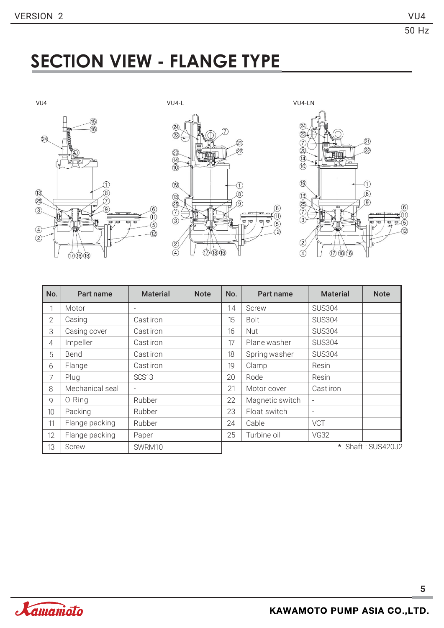### **SECTION VIEW - FLANGE TYPE**







| No.            | Part name       | <b>Material</b>          | <b>Note</b> | No. | Part name       | <b>Material</b>          | <b>Note</b>       |
|----------------|-----------------|--------------------------|-------------|-----|-----------------|--------------------------|-------------------|
|                | Motor           |                          |             | 14  | Screw           | <b>SUS304</b>            |                   |
| $\overline{2}$ | Casing          | Cast iron                |             | 15  | <b>Bolt</b>     | <b>SUS304</b>            |                   |
| 3              | Casing cover    | Cast iron                |             | 16  | Nut             | <b>SUS304</b>            |                   |
| $\overline{4}$ | Impeller        | Cast iron                |             | 17  | Plane washer    | <b>SUS304</b>            |                   |
| 5              | Bend            | Cast iron                |             | 18  | Spring washer   | <b>SUS304</b>            |                   |
| 6              | Flange          | Cast iron                |             | 19  | Clamp           | Resin                    |                   |
| 7              | Plug            | SCS <sub>13</sub>        |             | 20  | Rode            | Resin                    |                   |
| 8              | Mechanical seal | $\overline{\phantom{0}}$ |             | 21  | Motor cover     | Cast iron                |                   |
| 9              | 0-Ring          | Rubber                   |             | 22  | Magnetic switch | $\overline{\phantom{0}}$ |                   |
| 10             | Packing         | Rubber                   |             | 23  | Float switch    | $\overline{\phantom{a}}$ |                   |
| 11             | Flange packing  | Rubber                   |             | 24  | Cable           | VCT                      |                   |
| 12             | Flange packing  | Paper                    |             | 25  | Turbine oil     | <b>VG32</b>              |                   |
| 13             | <b>Screw</b>    | SWRM10                   |             |     |                 |                          | * Shaft: SUS420J2 |

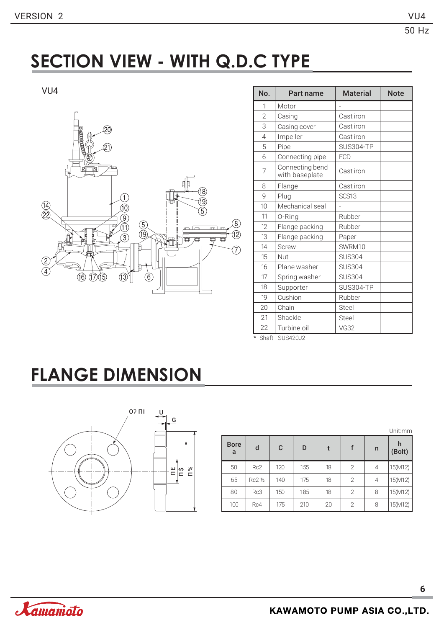### **SECTION VIEW - WITH Q.D.C TYPE**



| VU4                                                                                                                       | No.             | Part name                         | <b>Material</b>          | <b>Note</b> |
|---------------------------------------------------------------------------------------------------------------------------|-----------------|-----------------------------------|--------------------------|-------------|
|                                                                                                                           | 1               | Motor                             | $\overline{a}$           |             |
|                                                                                                                           | $\overline{2}$  | Casing                            | Cast iron                |             |
| ŚΟ                                                                                                                        | 3               | Casing cover                      | Cast iron                |             |
|                                                                                                                           | $\overline{4}$  | Impeller                          | Cast iron                |             |
| <b>Canadoo</b>                                                                                                            | 5               | Pipe                              | SUS304-TP                |             |
|                                                                                                                           | 6               | Connecting pipe                   | <b>FCD</b>               |             |
| ाठा                                                                                                                       | $\overline{7}$  | Connecting bend<br>with baseplate | Cast iron                |             |
|                                                                                                                           | 8               | Flange                            | Cast iron                |             |
| (18)                                                                                                                      | 9               | Plug                              | SCS13                    |             |
| 19)<br>5)<br>(14)<br>(22)<br>10)                                                                                          | 10 <sup>1</sup> | Mechanical seal                   | $\overline{\phantom{a}}$ |             |
|                                                                                                                           | 11              | 0-Ring                            | Rubber                   |             |
| $\begin{matrix} 9 \\ 1 \end{matrix}$<br>$\left[ 8 \right]$<br>$\begin{pmatrix} 5 \\ 19 \end{pmatrix}$<br>प्ता<br>mlm<br>m | 12              | Flange packing                    | Rubber                   |             |
| Preedh.<br>Land<br>Property<br>12)<br>$\circled{3}$<br>覃<br>₩<br>丏<br>冲                                                   | 13              | Flange packing                    | Paper                    |             |
| 7,                                                                                                                        | 14              | <b>Screw</b>                      | SWRM10                   |             |
| Z                                                                                                                         | 15              | Nut                               | <b>SUS304</b>            |             |
| A)                                                                                                                        | 16              | Plane washer                      | <b>SUS304</b>            |             |
| $\left(\widehat{6}\right)$<br>13)<br>(16)<br>(15)<br>(17)                                                                 | 17              | Spring washer                     | <b>SUS304</b>            |             |
|                                                                                                                           | 18              | Supporter                         | SUS304-TP                |             |
|                                                                                                                           | 19              | Cushion                           | Rubber                   |             |
|                                                                                                                           | 20              | Chain                             | Steel                    |             |
|                                                                                                                           | 21              | Shackle                           | Steel                    |             |
|                                                                                                                           | 22              | Turbine oil                       | <b>VG32</b>              |             |

\* Shaft : SUS420J2

### **FLANGE DIMENSION**



|                  |         | Unit:mm |     |    |                |              |             |
|------------------|---------|---------|-----|----|----------------|--------------|-------------|
| <b>Bore</b><br>a | d       | C       | D   | t  |                | $\mathsf{n}$ | h<br>(Bolt) |
| 50               | Rc2     | 120     | 155 | 18 | 2              | 4            | 15(M12)     |
| 65               | Rc2 1/2 | 140     | 175 | 18 | 2              | 4            | 15(M12)     |
| 80               | Rc3     | 150     | 185 | 18 | 2              | 8            | 15(M12)     |
| 100              | Rc4     | 175     | 210 | 20 | $\overline{2}$ | 8            | 15(M12)     |

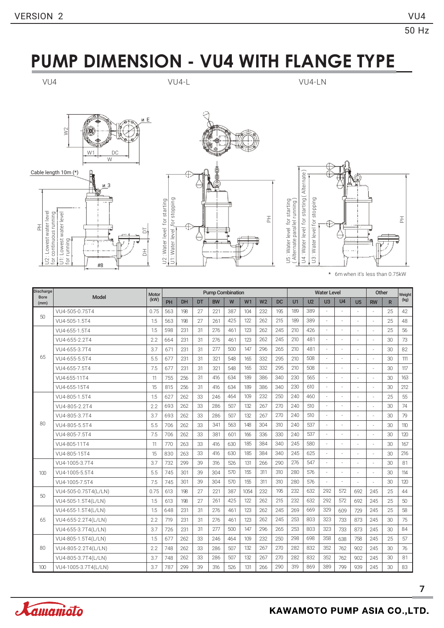### **PUMP DIMENSION - VU4 WITH FLANGE TYPE**

VU4 VU4-L VU4-LN







\* 6m when it's less than 0.75kW

| <b>Discharge</b>    | <b>Model</b>         | Motor | <b>Pump Combination</b> |     |    |           |     |      |                |     | <b>Water Level</b> |                |                          |                          |                | Other     |              | Weight |
|---------------------|----------------------|-------|-------------------------|-----|----|-----------|-----|------|----------------|-----|--------------------|----------------|--------------------------|--------------------------|----------------|-----------|--------------|--------|
| <b>Bore</b><br>(mm) |                      | (kW)  | PH                      | DH  | DT | <b>BW</b> | W   | W1   | W <sub>2</sub> | DC  | U1                 | U <sub>2</sub> | U <sub>3</sub>           | II4                      | U <sub>5</sub> | <b>RW</b> | $\mathsf{R}$ | (kg)   |
| 50                  | VU4-505-0.75T4       | 0.75  | 563                     | 198 | 27 | 221       | 387 | 104  | 232            | 195 | 189                | 389            |                          | $\overline{\phantom{a}}$ |                | L.        | 25           | 42     |
|                     | VU4-505-1.5T4        | 1.5   | 563                     | 198 | 27 | 261       | 425 | 122  | 262            | 215 | 189                | 389            | $\overline{\phantom{a}}$ |                          |                | ÷.        | 25           | 48     |
|                     | VU4-655-1.5T4        | 1.5   | 598                     | 231 | 31 | 276       | 461 | 123  | 262            | 245 | 210                | 426            | ×,                       | $\overline{\phantom{a}}$ |                | ÷         | 25           | 56     |
|                     | VU4-655-2.2T4        | 2.2   | 664                     | 231 | 31 | 276       | 461 | 123  | 262            | 245 | 210                | 481            | ×,                       |                          |                | ÷.        | 30           | 73     |
|                     | VU4-655-3.7T4        | 3.7   | 671                     | 231 | 31 | 277       | 500 | 147  | 296            | 265 | 210                | 481            |                          |                          |                | ÷         | 30           | 82     |
| 65                  | VU4-655-5.5T4        | 5.5   | 677                     | 231 | 31 | 321       | 548 | 165  | 332            | 295 | 210                | 508            | ÷.                       |                          |                | ÷         | 30           | 111    |
|                     | VU4-655-7.5T4        | 7.5   | 677                     | 231 | 31 | 321       | 548 | 165  | 332            | 295 | 210                | 508            | $\overline{\phantom{a}}$ |                          |                | ×.        | 30           | 117    |
|                     | VU4-655-11T4         | 11    | 755                     | 256 | 31 | 416       | 634 | 189  | 386            | 340 | 230                | 565            | ×,                       |                          |                |           | 30           | 163    |
|                     | VU4-655-15T4         | 15    | 815                     | 256 | 31 | 416       | 634 | 189  | 386            | 340 | 230                | 610            |                          |                          |                | ×.        | 30           | 212    |
|                     | VU4-805-1.5T4        | 1.5   | 627                     | 262 | 33 | 246       | 464 | 109  | 232            | 250 | 240                | 460            |                          |                          |                | ÷.        | 25           | 55     |
|                     | VU4-805-2.2T4        | 2.2   | 693                     | 262 | 33 | 286       | 507 | 132  | 267            | 270 | 240                | 510            | $\overline{\phantom{a}}$ | $\overline{\phantom{a}}$ |                | ÷         | 30           | 74     |
|                     | VU4-805-3.7T4        | 3.7   | 693                     | 262 | 33 | 286       | 507 | 132  | 267            | 270 | 240                | 510            | ÷.                       |                          |                | J.        | 30           | 79     |
| 80                  | VU4-805-5.5T4        | 5.5   | 706                     | 262 | 33 | 341       | 563 | 148  | 304            | 310 | 240                | 537            | ÷.                       |                          |                | ÷         | 30           | 110    |
|                     | VU4-805-7.5T4        | 7.5   | 706                     | 262 | 33 | 381       | 601 | 166  | 336            | 330 | 240                | 537            | ×.                       |                          |                | J.        | 30           | 120    |
|                     | VU4-805-11T4         | 11    | 770                     | 263 | 33 | 416       | 630 | 185  | 384            | 340 | 245                | 580            |                          |                          |                | ×,        | 30           | 167    |
|                     | VU4-805-15T4         | 15    | 830                     | 263 | 33 | 416       | 630 | 185  | 384            | 340 | 245                | 625            |                          |                          | ä,             |           | 30           | 216    |
|                     | VU4-1005-3.7T4       | 3.7   | 732                     | 299 | 39 | 316       | 526 | 131  | 266            | 290 | 276                | 547            |                          |                          |                | ÷         | 30           | 81     |
| 100                 | VU4-1005-5.5T4       | 5.5   | 745                     | 301 | 39 | 304       | 570 | 155  | 311            | 310 | 280                | 576            |                          |                          | ä,             | J.        | 30           | 114    |
|                     | VU4-1005-7.5T4       | 7.5   | 745                     | 301 | 39 | 304       | 570 | 155  | 311            | 310 | 280                | 576            | ×,                       | $\overline{\phantom{a}}$ |                | ÷         | 30           | 120    |
| 50                  | VU4-505-0.75T4(L/LN) | 0.75  | 613                     | 198 | 27 | 221       | 387 | 1054 | 232            | 195 | 232                | 632            | 292                      | 572                      | 692            | 245       | 25           | 44     |
|                     | VU4-505-1.5T4(L/LN)  | 1.5   | 613                     | 198 | 27 | 261       | 425 | 122  | 262            | 215 | 232                | 632            | 292                      | 572                      | 692            | 245       | 25           | 50     |
|                     | VU4-655-1.5T4(L/LN)  | 1.5   | 648                     | 231 | 31 | 276       | 461 | 123  | 262            | 245 | 269                | 669            | 329                      | 609                      | 729            | 245       | 25           | 58     |
| 65                  | VU4-655-2.2T4(L/LN)  | 2.2   | 719                     | 231 | 31 | 276       | 461 | 123  | 262            | 245 | 253                | 803            | 323                      | 733                      | 873            | 245       | 30           | 75     |
|                     | VU4-655-3.7T4(L/LN)  | 3.7   | 726                     | 231 | 31 | 277       | 500 | 147  | 296            | 265 | 253                | 803            | 323                      | 733                      | 873            | 245       | 30           | 84     |
|                     | VU4-805-1.5T4(L/LN)  | 1.5   | 677                     | 262 | 33 | 246       | 464 | 109  | 232            | 250 | 298                | 698            | 358                      | 638                      | 758            | 245       | 25           | 57     |
| 80                  | VU4-805-2.2T4(L/LN)  | 2.2   | 748                     | 262 | 33 | 286       | 507 | 132  | 267            | 270 | 282                | 832            | 352                      | 762                      | 902            | 245       | 30           | 76     |
|                     | VU4-805-3.7T4(L/LN)  | 3.7   | 748                     | 262 | 33 | 286       | 507 | 132  | 267            | 270 | 282                | 832            | 352                      | 762                      | 902            | 245       | 30           | 81     |
| 100                 | VU4-1005-3.7T4(L/LN) | 3.7   | 787                     | 299 | 39 | 316       | 526 | 131  | 266            | 290 | 319                | 869            | 389                      | 799                      | 939            | 245       | 30           | 83     |

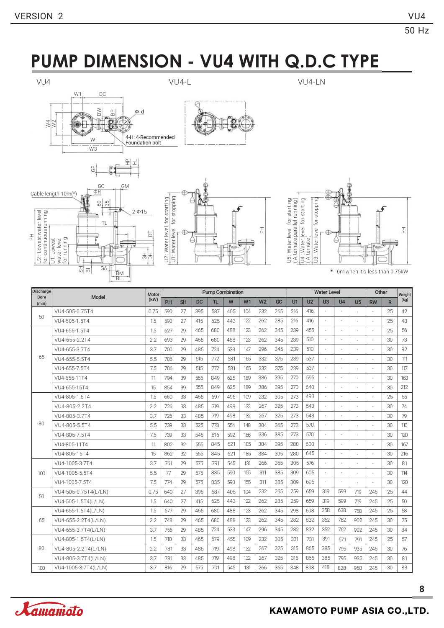Hz

### **PUMP DIMENSION - VU4 WITH Q.D.C TYPE**



운! 로!







R



\* 6m when it's less than 0.75kW

| Discharge           | <b>Model</b>         | Motor | <b>Pump Combination</b> |           |           |     |     |     |                |           | <b>Water Level</b> |                |                |                |                | Other     |              | Weight |
|---------------------|----------------------|-------|-------------------------|-----------|-----------|-----|-----|-----|----------------|-----------|--------------------|----------------|----------------|----------------|----------------|-----------|--------------|--------|
| <b>Bore</b><br>(mm) |                      | (kW)  | PH                      | <b>SH</b> | <b>DC</b> | TL. | W   | W1  | W <sub>2</sub> | <b>GC</b> | U1                 | U <sub>2</sub> | U <sub>3</sub> | U <sub>4</sub> | U <sub>5</sub> | <b>RW</b> | $\mathsf{R}$ | (kg)   |
|                     | VU4-505-0.75T4       | 0.75  | 590                     | 27        | 395       | 587 | 405 | 104 | 232            | 265       | 216                | 416            |                | ÷              |                | ÷.        | 25           | 42     |
| 50                  | VU4-505-1.5T4        | 1.5   | 590                     | 27        | 415       | 625 | 443 | 122 | 262            | 285       | 216                | 416            |                |                |                |           | 25           | 48     |
|                     | VU4-655-1.5T4        | 1.5   | 627                     | 29        | 465       | 680 | 488 | 123 | 262            | 345       | 239                | 455            | J.             | ٠              |                | ä,        | 25           | 56     |
|                     | VU4-655-2.2T4        | 2.2   | 693                     | 29        | 465       | 680 | 488 | 123 | 262            | 345       | 239                | 510            |                |                |                |           | 30           | 73     |
|                     | VU4-655-3.7T4        | 3.7   | 700                     | 29        | 485       | 724 | 533 | 147 | 296            | 345       | 239                | 510            | J.             | ÷.             |                | ä,        | 30           | 82     |
| 65                  | VU4-655-5.5T4        | 5.5   | 706                     | 29        | 515       | 772 | 581 | 165 | 332            | 375       | 239                | 537            |                | ×.             |                |           | 30           | 111    |
|                     | VU4-655-7.5T4        | 7.5   | 706                     | 29        | 515       | 772 | 581 | 165 | 332            | 375       | 239                | 537            | ÷.             | ÷.             |                | ä,        | 30           | 117    |
|                     | VU4-655-11T4         | 11    | 794                     | 39        | 555       | 849 | 625 | 189 | 386            | 395       | 270                | 595            |                |                |                |           | 30           | 163    |
|                     | VU4-655-15T4         | 15    | 854                     | 39        | 555       | 849 | 625 | 189 | 386            | 395       | 270                | 640            | ÷.             | ×.             |                | ä,        | 30           | 212    |
|                     | VU4-805-1.5T4        | 1.5   | 660                     | 33        | 465       | 697 | 496 | 109 | 232            | 305       | 273                | 493            |                |                |                |           | 25           | 55     |
|                     | VU4-805-2.2T4        | 2.2   | 726                     | 33        | 485       | 719 | 498 | 132 | 267            | 325       | 273                | 543            | J.             | ÷.             |                |           | 30           | 74     |
|                     | VU4-805-3.7T4        | 3.7   | 726                     | 33        | 485       | 719 | 498 | 132 | 267            | 325       | 273                | 543            |                |                |                |           | 30           | 79     |
| 80                  | VU4-805-5.5T4        | 5.5   | 739                     | 33        | 525       | 778 | 554 | 148 | 304            | 365       | 273                | 570            | J.             | ÷.             |                |           | 30           | 110    |
|                     | VU4-805-7.5T4        | 7.5   | 739                     | 33        | 545       | 816 | 592 | 166 | 336            | 385       | 273                | 570            |                | ÷.             |                |           | 30           | 120    |
|                     | VU4-805-11T4         | 11    | 802                     | 32        | 555       | 845 | 621 | 185 | 384            | 395       | 280                | 600            | J.             | ×,             |                | ä,        | 30           | 167    |
|                     | VU4-805-15T4         | 15    | 862                     | 32        | 555       | 845 | 621 | 185 | 384            | 395       | 280                | 645            | J.             |                |                |           | 30           | 216    |
|                     | VU4-1005-3.7T4       | 3.7   | 761                     | 29        | 575       | 791 | 545 | 131 | 266            | 365       | 305                | 576            | ÷,             | ×,             |                | ä,        | 30           | 81     |
| 100                 | VU4-1005-5.5T4       | 5.5   | 77                      | 29        | 575       | 835 | 590 | 155 | 311            | 385       | 309                | 605            | ÷,             | ×,             | ÷.             |           | 30           | 114    |
|                     | VU4-1005-7.5T4       | 7.5   | 774                     | 29        | 575       | 835 | 590 | 155 | 311            | 385       | 309                | 605            | ÷,             | ×,             |                |           | 30           | 120    |
| 50                  | VU4-505-0.75T4(L/LN) | 0.75  | 640                     | 27        | 395       | 587 | 405 | 104 | 232            | 265       | 259                | 659            | 319            | 599            | 719            | 245       | 25           | 44     |
|                     | VU4-505-1.5T4(L/LN)  | 1.5   | 640                     | 27        | 415       | 625 | 443 | 122 | 262            | 285       | 259                | 659            | 319            | 599            | 719            | 245       | 25           | 50     |
|                     | VU4-655-1.5T4(L/LN)  | 1.5   | 677                     | 29        | 465       | 680 | 488 | 123 | 262            | 345       | 298                | 698            | 358            | 638            | 758            | 245       | 25           | 58     |
| 65                  | VU4-655-2.2T4(L/LN)  | 2.2   | 748                     | 29        | 465       | 680 | 488 | 123 | 262            | 345       | 282                | 832            | 352            | 762            | 902            | 245       | 30           | 75     |
|                     | VU4-655-3.7T4(L/LN)  | 3.7   | 755                     | 29        | 485       | 724 | 533 | 147 | 296            | 345       | 282                | 832            | 352            | 762            | 902            | 245       | 30           | 84     |
|                     | VU4-805-1.5T4(L/LN)  | 1.5   | 710                     | 33        | 465       | 679 | 455 | 109 | 232            | 305       | 331                | 731            | 391            | 671            | 791            | 245       | 25           | 57     |
| 80                  | VU4-805-2.2T4(L/LN)  | 2.2   | 781                     | 33        | 485       | 719 | 498 | 132 | 267            | 325       | 315                | 865            | 385            | 795            | 935            | 245       | 30           | 76     |
|                     | VU4-805-3.7T4(L/LN)  | 3.7   | 781                     | 33        | 485       | 719 | 498 | 132 | 267            | 325       | 315                | 865            | 385            | 795            | 935            | 245       | 30           | 81     |
| 100                 | VU4-1005-3.7T4(L/LN) | 3.7   | 816                     | 29        | 575       | 791 | 545 | 131 | 266            | 365       | 348                | 898            | 418            | 828            | 968            | 245       | 30           | 83     |

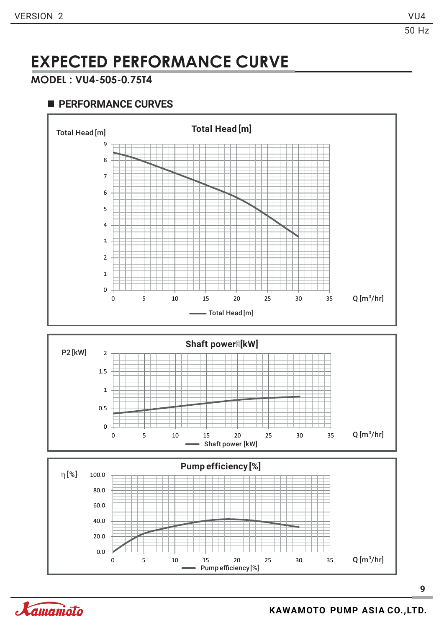#### **MODEL : VU4-505-0.75T4**





![](_page_9_Figure_8.jpeg)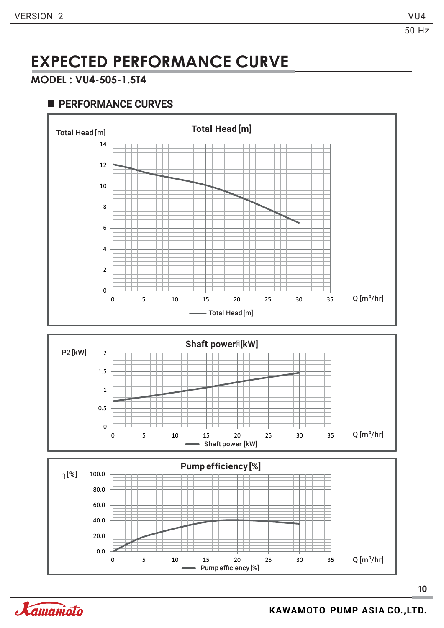50 Hz

### **EXPECTED PERFORMANCE CURVE**

#### **MODEL : VU4-505-1.5T4**

![](_page_10_Figure_6.jpeg)

![](_page_10_Figure_7.jpeg)

![](_page_10_Figure_8.jpeg)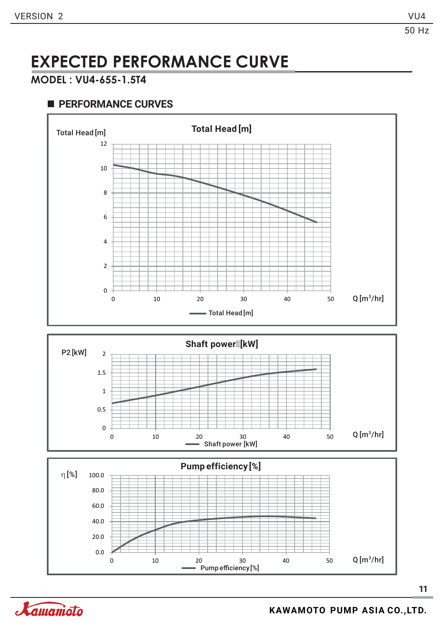#### **MODEL : VU4-655-1.5T4**

#### **PERFORMANCE CURVES**

![](_page_11_Figure_6.jpeg)

![](_page_11_Figure_7.jpeg)

![](_page_11_Figure_8.jpeg)

**Kamanioto**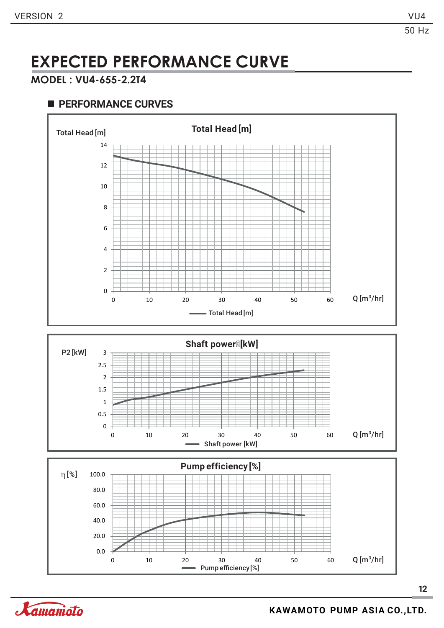50 Hz

### **EXPECTED PERFORMANCE CURVE**

#### **MODEL : VU4-655-2.2T4**

#### **PERFORMANCE CURVES**

0 0.5

![](_page_12_Figure_6.jpeg)

![](_page_12_Figure_7.jpeg)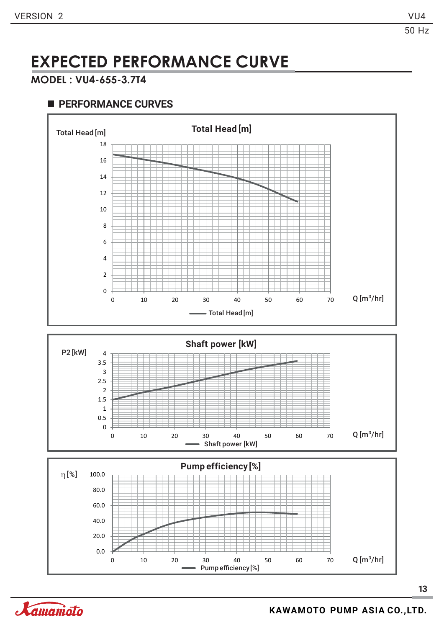#### **MODEL : VU4-655-3.7T4**

![](_page_13_Figure_6.jpeg)

![](_page_13_Figure_7.jpeg)

![](_page_13_Figure_8.jpeg)

![](_page_13_Picture_9.jpeg)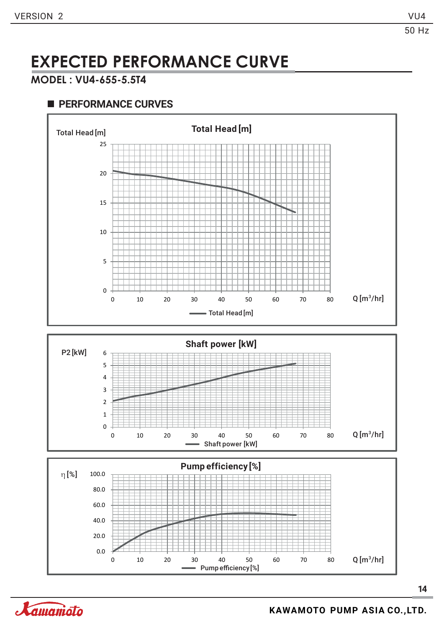#### **MODEL : VU4-655-5.5T4**

![](_page_14_Figure_6.jpeg)

![](_page_14_Picture_8.jpeg)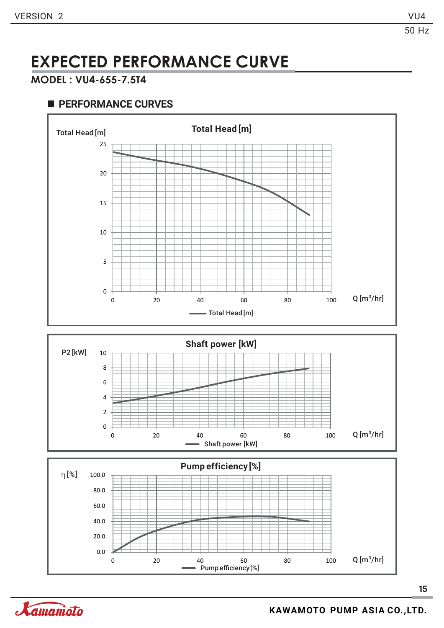#### **MODEL : VU4-655-7.5T4**

![](_page_15_Figure_6.jpeg)

![](_page_15_Figure_7.jpeg)

![](_page_15_Figure_8.jpeg)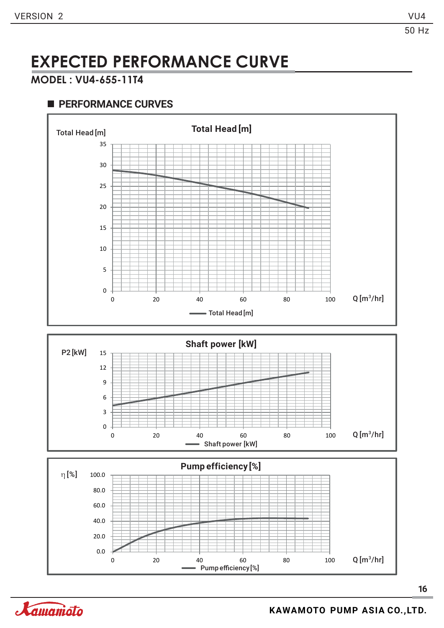#### **MODEL : VU4-655-11T4**

![](_page_16_Figure_6.jpeg)

![](_page_16_Figure_7.jpeg)

![](_page_16_Figure_8.jpeg)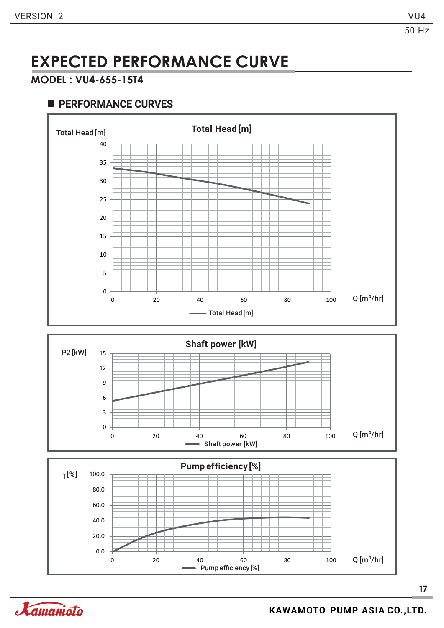#### **MODEL : VU4-655-15T4**

![](_page_17_Figure_6.jpeg)

![](_page_17_Figure_7.jpeg)

![](_page_17_Picture_8.jpeg)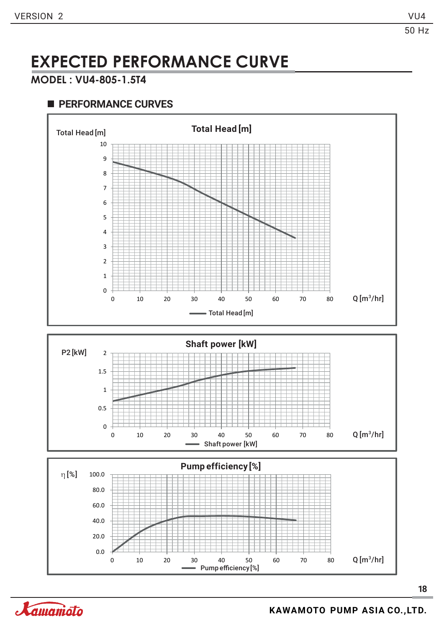### **MODEL : VU4-805-1.5T4**

![](_page_18_Figure_6.jpeg)

![](_page_18_Figure_7.jpeg)

![](_page_18_Figure_8.jpeg)

![](_page_18_Picture_10.jpeg)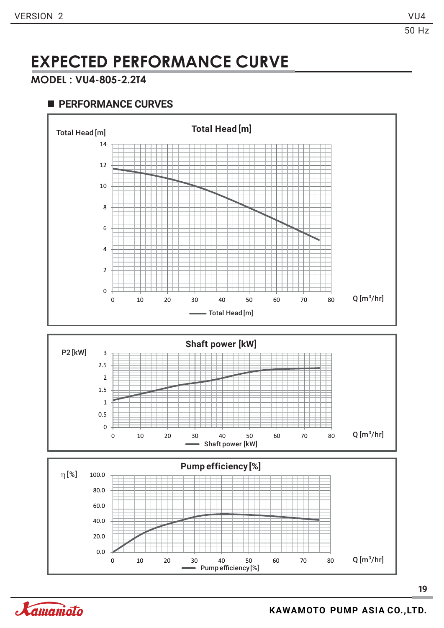#### **MODEL : VU4-805-2.2T4**

![](_page_19_Figure_6.jpeg)

![](_page_19_Figure_7.jpeg)

![](_page_19_Picture_9.jpeg)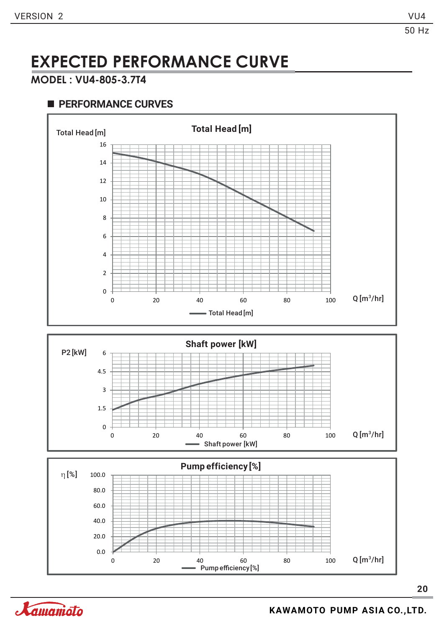#### **MODEL : VU4-805-3.7T4**

![](_page_20_Figure_6.jpeg)

![](_page_20_Figure_7.jpeg)

![](_page_20_Figure_8.jpeg)

![](_page_20_Picture_10.jpeg)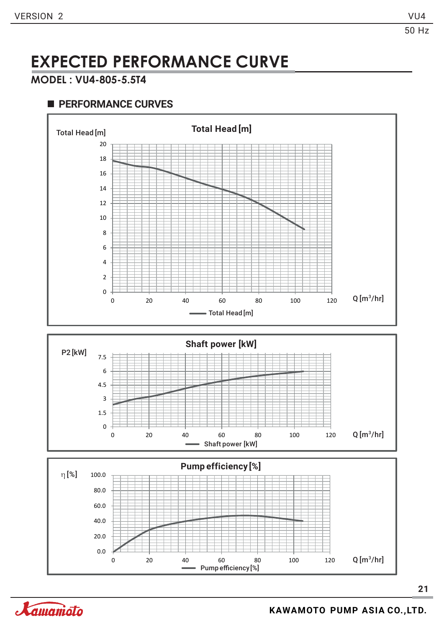50 Hz

### **EXPECTED PERFORMANCE CURVE**

#### **MODEL : VU4-805-5.5T4**

#### **PERFORMANCE CURVES**

![](_page_21_Figure_6.jpeg)

![](_page_21_Figure_7.jpeg)

![](_page_21_Figure_8.jpeg)

Xamanioto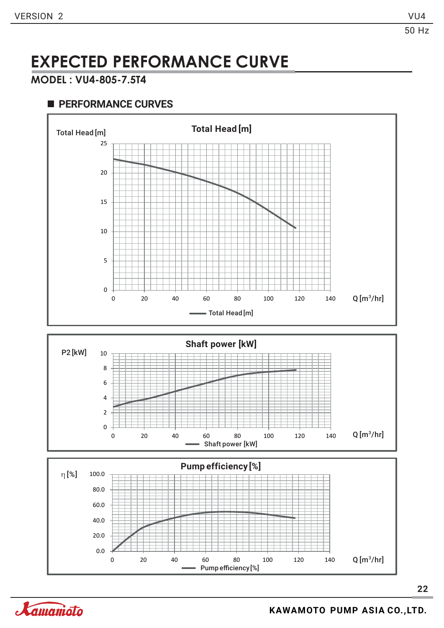#### **MODEL : VU4-805-7.5T4**

![](_page_22_Figure_6.jpeg)

![](_page_22_Figure_7.jpeg)

![](_page_22_Figure_8.jpeg)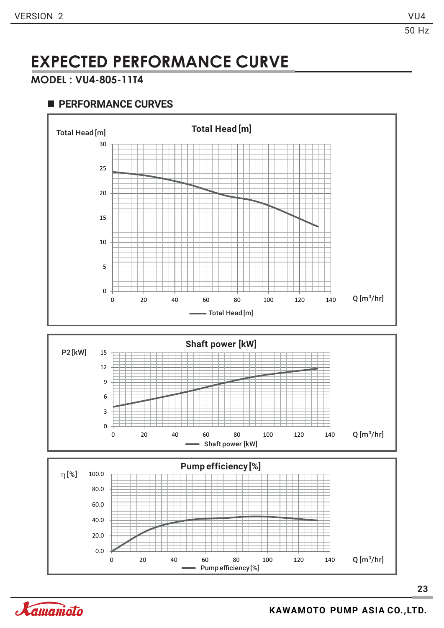#### **MODEL : VU4-805-11T4**

#### **PERFORMANCE CURVES**

![](_page_23_Figure_6.jpeg)

![](_page_23_Figure_7.jpeg)

![](_page_23_Figure_8.jpeg)

Xamanioto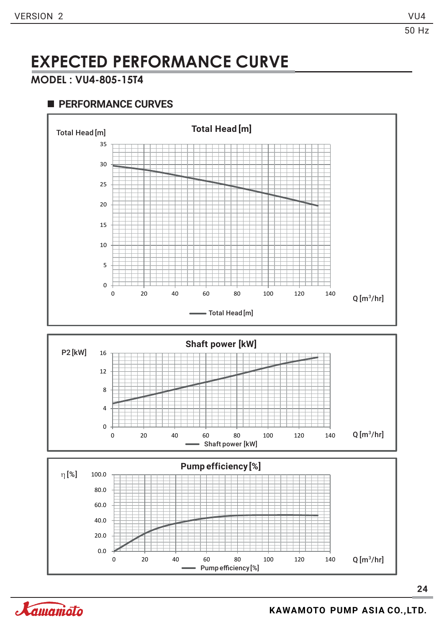50 Hz

### **EXPECTED PERFORMANCE CURVE**

#### **MODEL : VU4-805-15T4**

![](_page_24_Figure_6.jpeg)

![](_page_24_Picture_7.jpeg)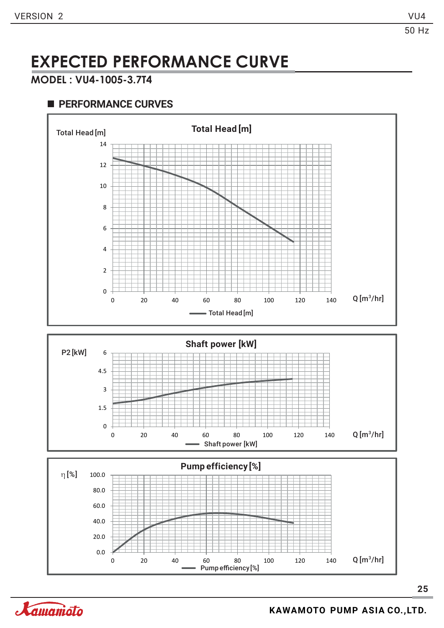#### **MODEL : VU4-1005-3.7T4**

![](_page_25_Figure_6.jpeg)

![](_page_25_Figure_7.jpeg)

![](_page_25_Figure_8.jpeg)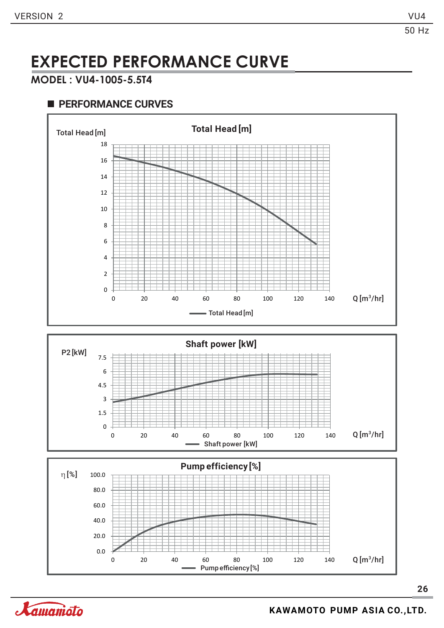#### **MODEL : VU4-1005-5.5T4**

![](_page_26_Figure_6.jpeg)

![](_page_26_Figure_7.jpeg)

![](_page_26_Figure_8.jpeg)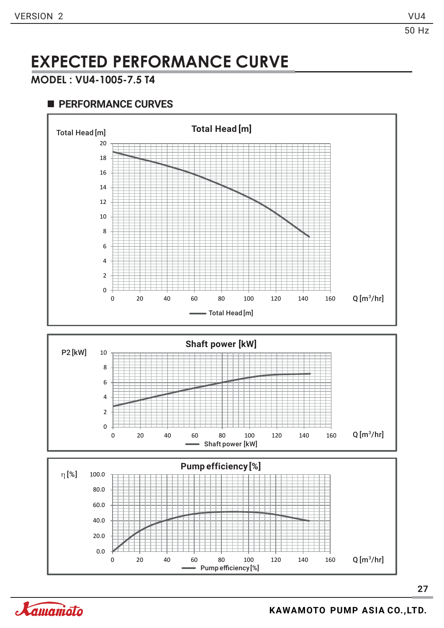#### **MODEL : VU4-1005-7.5 T4**

![](_page_27_Figure_6.jpeg)

![](_page_27_Figure_7.jpeg)

![](_page_27_Figure_8.jpeg)

![](_page_27_Picture_9.jpeg)